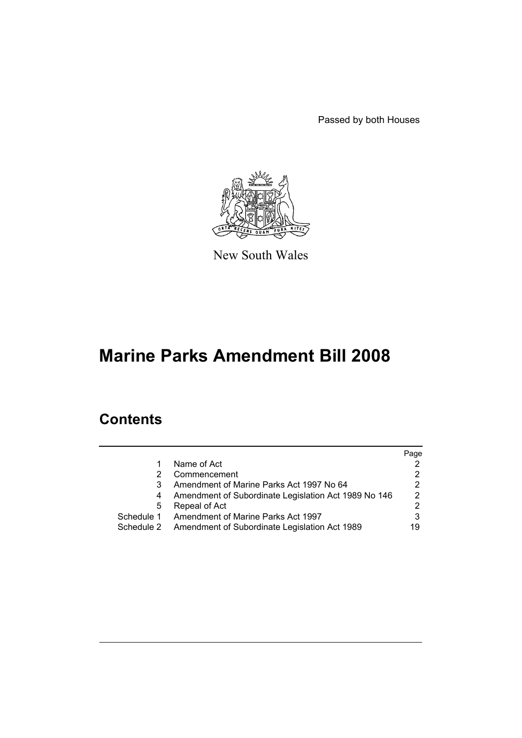Passed by both Houses



New South Wales

# **Marine Parks Amendment Bill 2008**

## **Contents**

|            |                                                      | Page           |
|------------|------------------------------------------------------|----------------|
|            | Name of Act                                          | 2.             |
|            | Commencement                                         | 2              |
|            | Amendment of Marine Parks Act 1997 No 64             | 2              |
|            | Amendment of Subordinate Legislation Act 1989 No 146 | $\overline{2}$ |
| 5          | Repeal of Act                                        | 2.             |
| Schedule 1 | Amendment of Marine Parks Act 1997                   | 3              |
| Schedule 2 | Amendment of Subordinate Legislation Act 1989        | 19             |
|            |                                                      |                |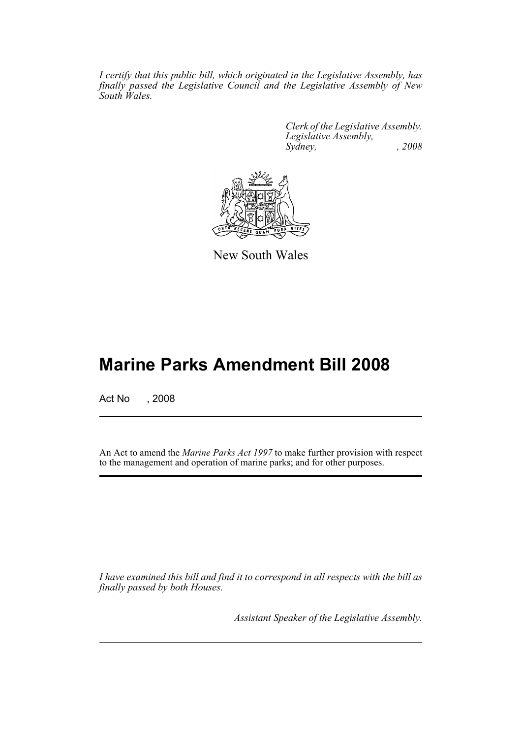*I certify that this public bill, which originated in the Legislative Assembly, has finally passed the Legislative Council and the Legislative Assembly of New South Wales.*

> *Clerk of the Legislative Assembly. Legislative Assembly, Sydney, , 2008*



New South Wales

# **Marine Parks Amendment Bill 2008**

Act No , 2008

An Act to amend the *Marine Parks Act 1997* to make further provision with respect to the management and operation of marine parks; and for other purposes.

*I have examined this bill and find it to correspond in all respects with the bill as finally passed by both Houses.*

*Assistant Speaker of the Legislative Assembly.*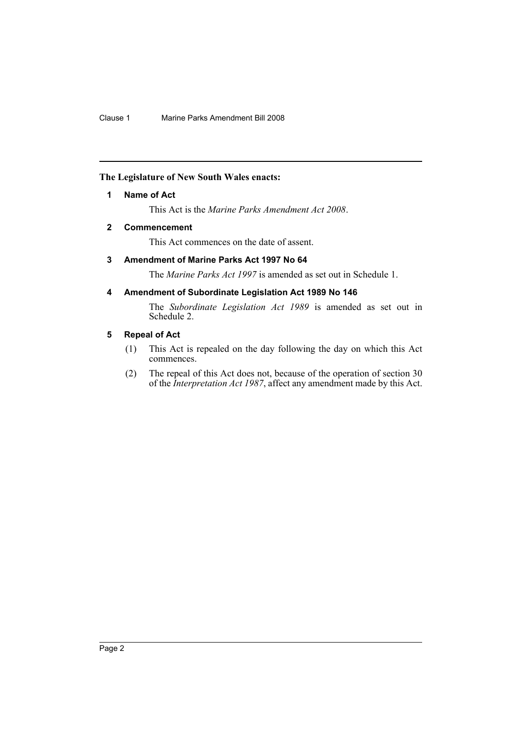## <span id="page-2-0"></span>**The Legislature of New South Wales enacts:**

## **1 Name of Act**

This Act is the *Marine Parks Amendment Act 2008*.

## <span id="page-2-1"></span>**2 Commencement**

This Act commences on the date of assent.

## <span id="page-2-2"></span>**3 Amendment of Marine Parks Act 1997 No 64**

The *Marine Parks Act 1997* is amended as set out in Schedule 1.

## <span id="page-2-3"></span>**4 Amendment of Subordinate Legislation Act 1989 No 146**

The *Subordinate Legislation Act 1989* is amended as set out in Schedule 2.

## <span id="page-2-4"></span>**5 Repeal of Act**

- (1) This Act is repealed on the day following the day on which this Act commences.
- (2) The repeal of this Act does not, because of the operation of section 30 of the *Interpretation Act 1987*, affect any amendment made by this Act.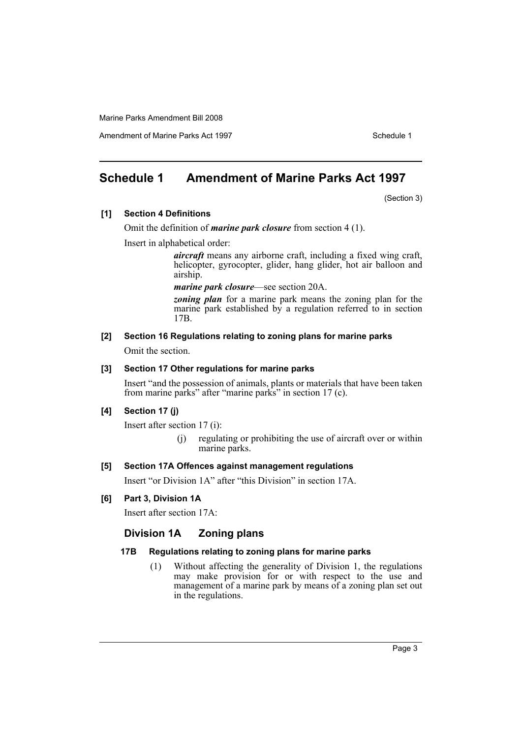Amendment of Marine Parks Act 1997 Schedule 1

## <span id="page-3-0"></span>**Schedule 1 Amendment of Marine Parks Act 1997**

(Section 3)

#### **[1] Section 4 Definitions**

Omit the definition of *marine park closure* from section 4 (1).

Insert in alphabetical order:

*aircraft* means any airborne craft, including a fixed wing craft, helicopter, gyrocopter, glider, hang glider, hot air balloon and airship.

*marine park closure*—see section 20A.

*zoning plan* for a marine park means the zoning plan for the marine park established by a regulation referred to in section 17B.

## **[2] Section 16 Regulations relating to zoning plans for marine parks**

Omit the section.

## **[3] Section 17 Other regulations for marine parks**

Insert "and the possession of animals, plants or materials that have been taken from marine parks" after "marine parks" in section 17 (c).

#### **[4] Section 17 (j)**

Insert after section 17 (i):

(j) regulating or prohibiting the use of aircraft over or within marine parks.

## **[5] Section 17A Offences against management regulations**

Insert "or Division 1A" after "this Division" in section 17A.

## **[6] Part 3, Division 1A**

Insert after section 17A:

## **Division 1A Zoning plans**

## **17B Regulations relating to zoning plans for marine parks**

(1) Without affecting the generality of Division 1, the regulations may make provision for or with respect to the use and management of a marine park by means of a zoning plan set out in the regulations.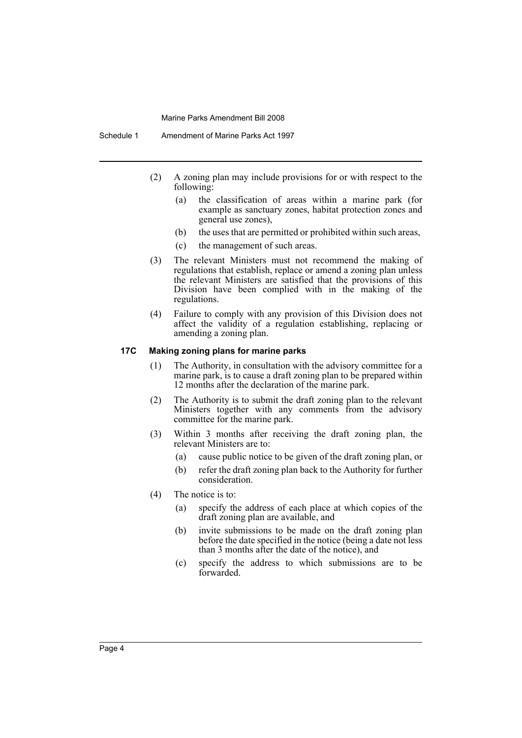- (2) A zoning plan may include provisions for or with respect to the following:
	- (a) the classification of areas within a marine park (for example as sanctuary zones, habitat protection zones and general use zones),
	- (b) the uses that are permitted or prohibited within such areas,
	- (c) the management of such areas.
- (3) The relevant Ministers must not recommend the making of regulations that establish, replace or amend a zoning plan unless the relevant Ministers are satisfied that the provisions of this Division have been complied with in the making of the regulations.
- (4) Failure to comply with any provision of this Division does not affect the validity of a regulation establishing, replacing or amending a zoning plan.

## **17C Making zoning plans for marine parks**

- (1) The Authority, in consultation with the advisory committee for a marine park, is to cause a draft zoning plan to be prepared within 12 months after the declaration of the marine park.
- (2) The Authority is to submit the draft zoning plan to the relevant Ministers together with any comments from the advisory committee for the marine park.
- (3) Within 3 months after receiving the draft zoning plan, the relevant Ministers are to:
	- (a) cause public notice to be given of the draft zoning plan, or
	- (b) refer the draft zoning plan back to the Authority for further consideration.
- (4) The notice is to:
	- (a) specify the address of each place at which copies of the draft zoning plan are available, and
	- (b) invite submissions to be made on the draft zoning plan before the date specified in the notice (being a date not less than 3 months after the date of the notice), and
	- (c) specify the address to which submissions are to be forwarded.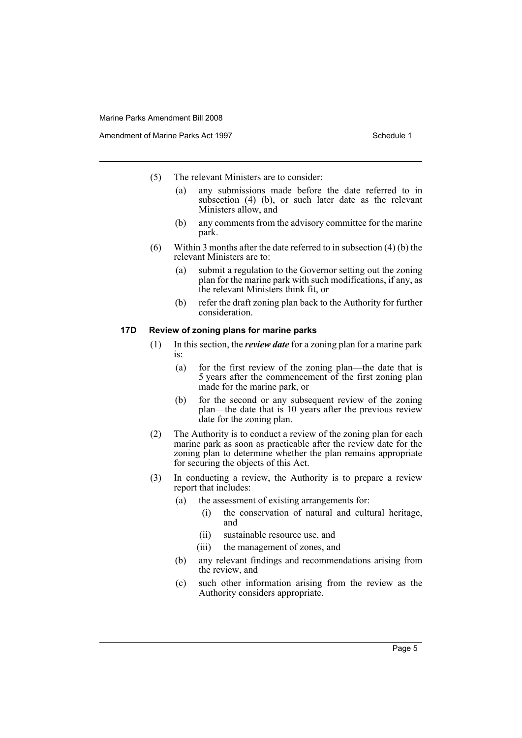- (5) The relevant Ministers are to consider:
	- (a) any submissions made before the date referred to in subsection (4) (b), or such later date as the relevant Ministers allow, and
	- (b) any comments from the advisory committee for the marine park.
- (6) Within 3 months after the date referred to in subsection (4) (b) the relevant Ministers are to:
	- (a) submit a regulation to the Governor setting out the zoning plan for the marine park with such modifications, if any, as the relevant Ministers think fit, or
	- (b) refer the draft zoning plan back to the Authority for further consideration.

### **17D Review of zoning plans for marine parks**

- (1) In this section, the *review date* for a zoning plan for a marine park is:
	- (a) for the first review of the zoning plan—the date that is 5 years after the commencement of the first zoning plan made for the marine park, or
	- (b) for the second or any subsequent review of the zoning plan—the date that is 10 years after the previous review date for the zoning plan.
- (2) The Authority is to conduct a review of the zoning plan for each marine park as soon as practicable after the review date for the zoning plan to determine whether the plan remains appropriate for securing the objects of this Act.
- (3) In conducting a review, the Authority is to prepare a review report that includes:
	- (a) the assessment of existing arrangements for:
		- (i) the conservation of natural and cultural heritage, and
		- (ii) sustainable resource use, and
		- (iii) the management of zones, and
	- (b) any relevant findings and recommendations arising from the review, and
	- (c) such other information arising from the review as the Authority considers appropriate.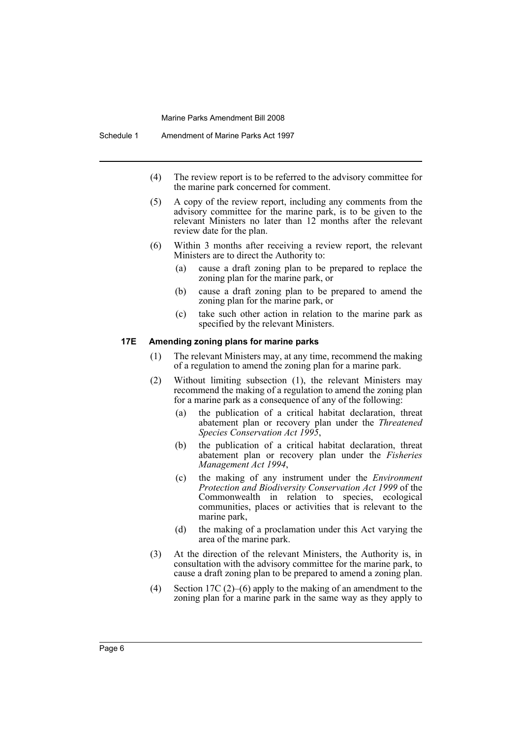- (4) The review report is to be referred to the advisory committee for the marine park concerned for comment.
- (5) A copy of the review report, including any comments from the advisory committee for the marine park, is to be given to the relevant Ministers no later than 12 months after the relevant review date for the plan.
- (6) Within 3 months after receiving a review report, the relevant Ministers are to direct the Authority to:
	- (a) cause a draft zoning plan to be prepared to replace the zoning plan for the marine park, or
	- (b) cause a draft zoning plan to be prepared to amend the zoning plan for the marine park, or
	- (c) take such other action in relation to the marine park as specified by the relevant Ministers.

#### **17E Amending zoning plans for marine parks**

- (1) The relevant Ministers may, at any time, recommend the making of a regulation to amend the zoning plan for a marine park.
- (2) Without limiting subsection (1), the relevant Ministers may recommend the making of a regulation to amend the zoning plan for a marine park as a consequence of any of the following:
	- (a) the publication of a critical habitat declaration, threat abatement plan or recovery plan under the *Threatened Species Conservation Act 1995*,
	- (b) the publication of a critical habitat declaration, threat abatement plan or recovery plan under the *Fisheries Management Act 1994*,
	- (c) the making of any instrument under the *Environment Protection and Biodiversity Conservation Act 1999* of the Commonwealth in relation to species, ecological communities, places or activities that is relevant to the marine park,
	- (d) the making of a proclamation under this Act varying the area of the marine park.
- (3) At the direction of the relevant Ministers, the Authority is, in consultation with the advisory committee for the marine park, to cause a draft zoning plan to be prepared to amend a zoning plan.
- (4) Section 17C (2)–(6) apply to the making of an amendment to the zoning plan for a marine park in the same way as they apply to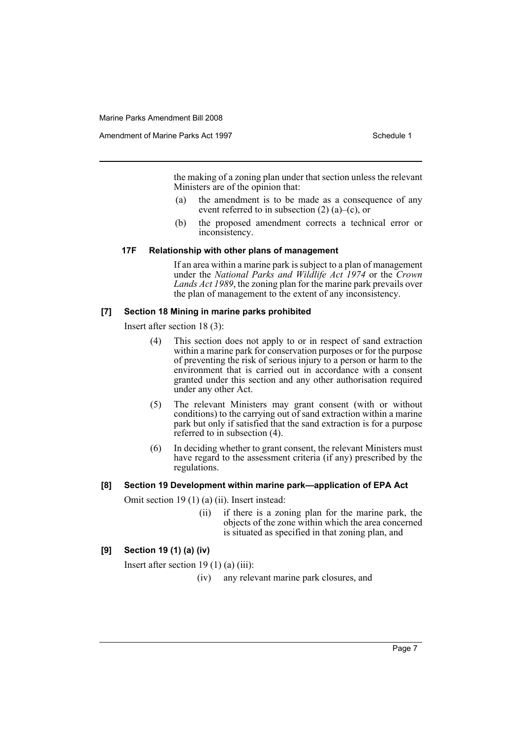Amendment of Marine Parks Act 1997 Schedule 1

the making of a zoning plan under that section unless the relevant Ministers are of the opinion that:

- (a) the amendment is to be made as a consequence of any event referred to in subsection (2) (a)–(c), or
- (b) the proposed amendment corrects a technical error or inconsistency.

#### **17F Relationship with other plans of management**

If an area within a marine park is subject to a plan of management under the *National Parks and Wildlife Act 1974* or the *Crown Lands Act 1989*, the zoning plan for the marine park prevails over the plan of management to the extent of any inconsistency.

#### **[7] Section 18 Mining in marine parks prohibited**

Insert after section 18 (3):

- (4) This section does not apply to or in respect of sand extraction within a marine park for conservation purposes or for the purpose of preventing the risk of serious injury to a person or harm to the environment that is carried out in accordance with a consent granted under this section and any other authorisation required under any other Act.
- (5) The relevant Ministers may grant consent (with or without conditions) to the carrying out of sand extraction within a marine park but only if satisfied that the sand extraction is for a purpose referred to in subsection (4).
- (6) In deciding whether to grant consent, the relevant Ministers must have regard to the assessment criteria (if any) prescribed by the regulations.

## **[8] Section 19 Development within marine park—application of EPA Act**

Omit section 19 (1) (a) (ii). Insert instead:

(ii) if there is a zoning plan for the marine park, the objects of the zone within which the area concerned is situated as specified in that zoning plan, and

## **[9] Section 19 (1) (a) (iv)**

Insert after section 19 (1) (a) (iii):

(iv) any relevant marine park closures, and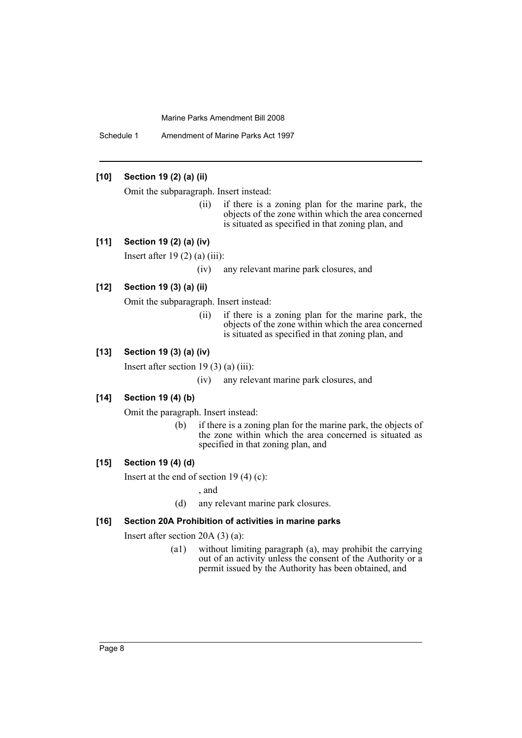Schedule 1 Amendment of Marine Parks Act 1997

## **[10] Section 19 (2) (a) (ii)**

Omit the subparagraph. Insert instead:

(ii) if there is a zoning plan for the marine park, the objects of the zone within which the area concerned is situated as specified in that zoning plan, and

#### **[11] Section 19 (2) (a) (iv)**

Insert after  $19(2)$  (a) (iii):

(iv) any relevant marine park closures, and

#### **[12] Section 19 (3) (a) (ii)**

Omit the subparagraph. Insert instead:

(ii) if there is a zoning plan for the marine park, the objects of the zone within which the area concerned is situated as specified in that zoning plan, and

## **[13] Section 19 (3) (a) (iv)**

Insert after section 19 $(3)$  $(a)$  $(iii)$ :

(iv) any relevant marine park closures, and

## **[14] Section 19 (4) (b)**

Omit the paragraph. Insert instead:

(b) if there is a zoning plan for the marine park, the objects of the zone within which the area concerned is situated as specified in that zoning plan, and

#### **[15] Section 19 (4) (d)**

Insert at the end of section 19 (4) (c):

, and

(d) any relevant marine park closures.

#### **[16] Section 20A Prohibition of activities in marine parks**

Insert after section 20A (3) (a):

(a1) without limiting paragraph (a), may prohibit the carrying out of an activity unless the consent of the Authority or a permit issued by the Authority has been obtained, and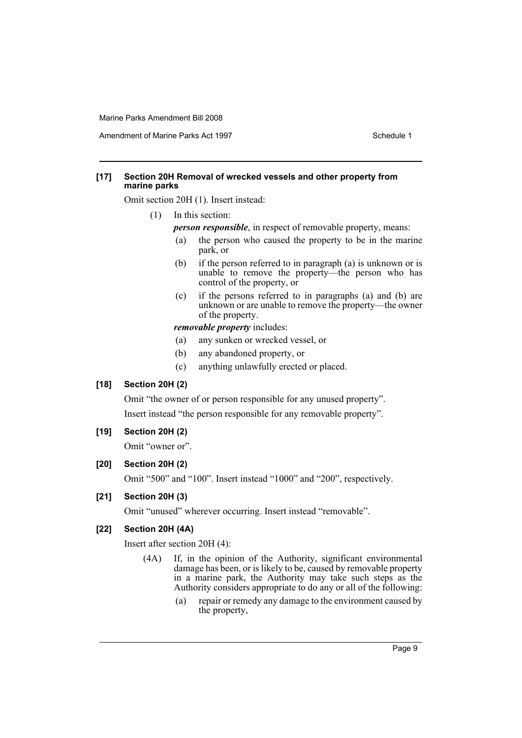Amendment of Marine Parks Act 1997 Schedule 1

### **[17] Section 20H Removal of wrecked vessels and other property from marine parks**

Omit section 20H (1). Insert instead:

- (1) In this section:
	- *person responsible*, in respect of removable property, means:
	- (a) the person who caused the property to be in the marine park, or
	- (b) if the person referred to in paragraph (a) is unknown or is unable to remove the property—the person who has control of the property, or
	- (c) if the persons referred to in paragraphs (a) and (b) are unknown or are unable to remove the property—the owner of the property.

*removable property* includes:

- (a) any sunken or wrecked vessel, or
- (b) any abandoned property, or
- (c) anything unlawfully erected or placed.

## **[18] Section 20H (2)**

Omit "the owner of or person responsible for any unused property". Insert instead "the person responsible for any removable property".

## **[19] Section 20H (2)**

Omit "owner or".

## **[20] Section 20H (2)**

Omit "500" and "100". Insert instead "1000" and "200", respectively.

## **[21] Section 20H (3)**

Omit "unused" wherever occurring. Insert instead "removable".

## **[22] Section 20H (4A)**

Insert after section 20H (4):

- (4A) If, in the opinion of the Authority, significant environmental damage has been, or is likely to be, caused by removable property in a marine park, the Authority may take such steps as the Authority considers appropriate to do any or all of the following:
	- (a) repair or remedy any damage to the environment caused by the property,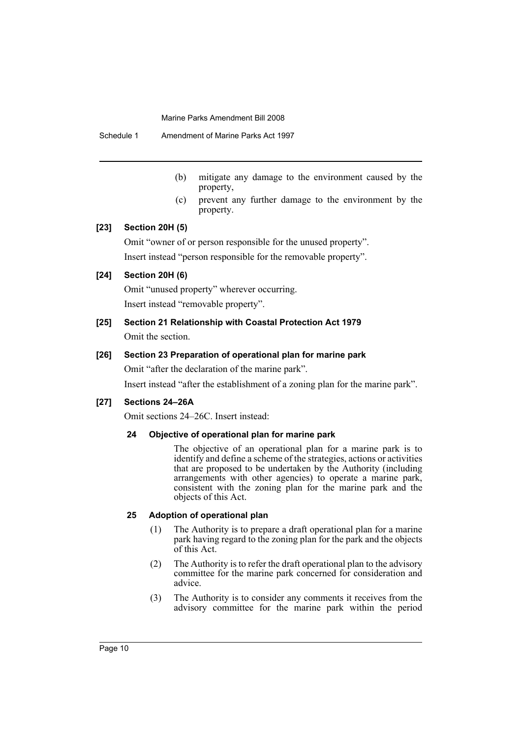Schedule 1 Amendment of Marine Parks Act 1997

- (b) mitigate any damage to the environment caused by the property,
- (c) prevent any further damage to the environment by the property.

#### **[23] Section 20H (5)**

Omit "owner of or person responsible for the unused property". Insert instead "person responsible for the removable property".

## **[24] Section 20H (6)**

Omit "unused property" wherever occurring. Insert instead "removable property".

# **[25] Section 21 Relationship with Coastal Protection Act 1979**

Omit the section.

#### **[26] Section 23 Preparation of operational plan for marine park**

Omit "after the declaration of the marine park".

Insert instead "after the establishment of a zoning plan for the marine park".

#### **[27] Sections 24–26A**

Omit sections 24–26C. Insert instead:

#### **24 Objective of operational plan for marine park**

The objective of an operational plan for a marine park is to identify and define a scheme of the strategies, actions or activities that are proposed to be undertaken by the Authority (including arrangements with other agencies) to operate a marine park, consistent with the zoning plan for the marine park and the objects of this Act.

#### **25 Adoption of operational plan**

- (1) The Authority is to prepare a draft operational plan for a marine park having regard to the zoning plan for the park and the objects of this Act.
- (2) The Authority is to refer the draft operational plan to the advisory committee for the marine park concerned for consideration and advice.
- (3) The Authority is to consider any comments it receives from the advisory committee for the marine park within the period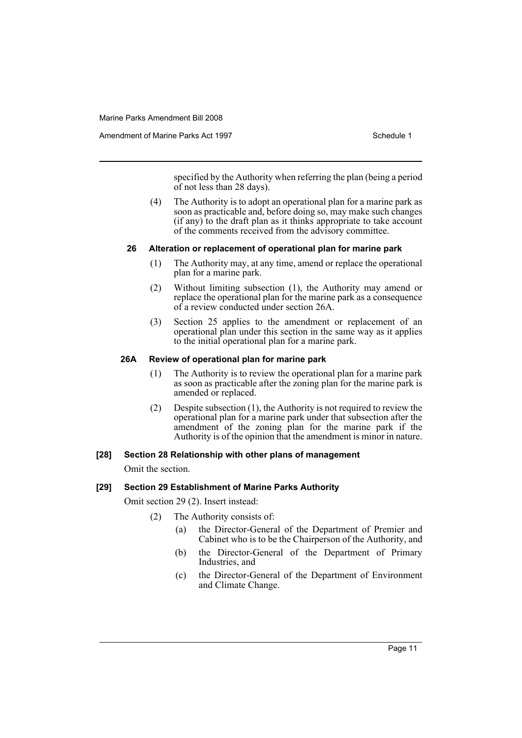Amendment of Marine Parks Act 1997 Schedule 1

specified by the Authority when referring the plan (being a period of not less than 28 days).

(4) The Authority is to adopt an operational plan for a marine park as soon as practicable and, before doing so, may make such changes  $(i)$  f any) to the draft plan as it thinks appropriate to take account of the comments received from the advisory committee.

#### **26 Alteration or replacement of operational plan for marine park**

- (1) The Authority may, at any time, amend or replace the operational plan for a marine park.
- (2) Without limiting subsection (1), the Authority may amend or replace the operational plan for the marine park as a consequence of a review conducted under section 26A.
- (3) Section 25 applies to the amendment or replacement of an operational plan under this section in the same way as it applies to the initial operational plan for a marine park.

#### **26A Review of operational plan for marine park**

- (1) The Authority is to review the operational plan for a marine park as soon as practicable after the zoning plan for the marine park is amended or replaced.
- (2) Despite subsection (1), the Authority is not required to review the operational plan for a marine park under that subsection after the amendment of the zoning plan for the marine park if the Authority is of the opinion that the amendment is minor in nature.

#### **[28] Section 28 Relationship with other plans of management**

Omit the section.

#### **[29] Section 29 Establishment of Marine Parks Authority**

Omit section 29 (2). Insert instead:

- (2) The Authority consists of:
	- (a) the Director-General of the Department of Premier and Cabinet who is to be the Chairperson of the Authority, and
	- (b) the Director-General of the Department of Primary Industries, and
	- (c) the Director-General of the Department of Environment and Climate Change.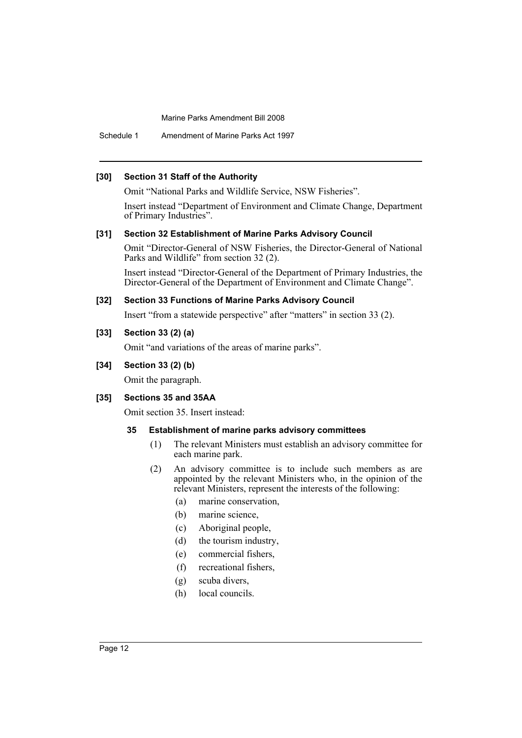Schedule 1 Amendment of Marine Parks Act 1997

#### **[30] Section 31 Staff of the Authority**

Omit "National Parks and Wildlife Service, NSW Fisheries".

Insert instead "Department of Environment and Climate Change, Department of Primary Industries".

#### **[31] Section 32 Establishment of Marine Parks Advisory Council**

Omit "Director-General of NSW Fisheries, the Director-General of National Parks and Wildlife" from section 32 (2).

Insert instead "Director-General of the Department of Primary Industries, the Director-General of the Department of Environment and Climate Change".

#### **[32] Section 33 Functions of Marine Parks Advisory Council**

Insert "from a statewide perspective" after "matters" in section 33 (2).

#### **[33] Section 33 (2) (a)**

Omit "and variations of the areas of marine parks".

#### **[34] Section 33 (2) (b)**

Omit the paragraph.

## **[35] Sections 35 and 35AA**

Omit section 35. Insert instead:

#### **35 Establishment of marine parks advisory committees**

- (1) The relevant Ministers must establish an advisory committee for each marine park.
- (2) An advisory committee is to include such members as are appointed by the relevant Ministers who, in the opinion of the relevant Ministers, represent the interests of the following:
	- (a) marine conservation,
	- (b) marine science,
	- (c) Aboriginal people,
	- (d) the tourism industry,
	- (e) commercial fishers,
	- (f) recreational fishers,
	- (g) scuba divers,
	- (h) local councils.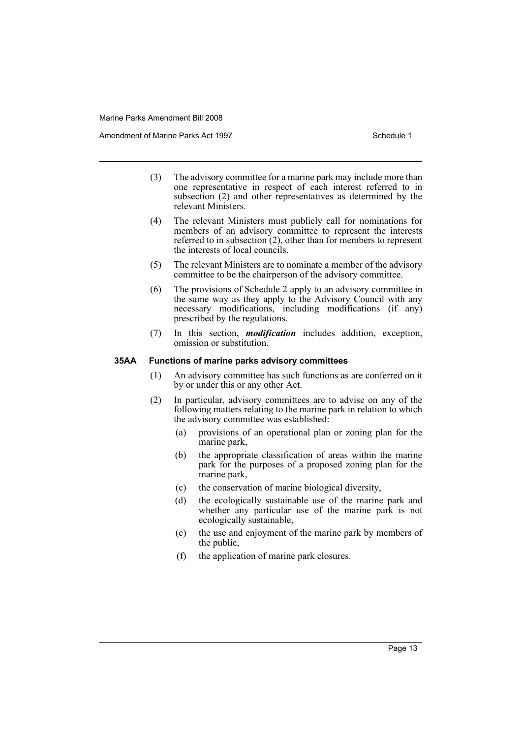Amendment of Marine Parks Act 1997 Schedule 1

- (3) The advisory committee for a marine park may include more than one representative in respect of each interest referred to in subsection (2) and other representatives as determined by the relevant Ministers.
- (4) The relevant Ministers must publicly call for nominations for members of an advisory committee to represent the interests referred to in subsection (2), other than for members to represent the interests of local councils.
- (5) The relevant Ministers are to nominate a member of the advisory committee to be the chairperson of the advisory committee.
- (6) The provisions of Schedule 2 apply to an advisory committee in the same way as they apply to the Advisory Council with any necessary modifications, including modifications (if any) prescribed by the regulations.
- (7) In this section, *modification* includes addition, exception, omission or substitution.

#### **35AA Functions of marine parks advisory committees**

- (1) An advisory committee has such functions as are conferred on it by or under this or any other Act.
- (2) In particular, advisory committees are to advise on any of the following matters relating to the marine park in relation to which the advisory committee was established:
	- (a) provisions of an operational plan or zoning plan for the marine park,
	- (b) the appropriate classification of areas within the marine park for the purposes of a proposed zoning plan for the marine park,
	- (c) the conservation of marine biological diversity,
	- (d) the ecologically sustainable use of the marine park and whether any particular use of the marine park is not ecologically sustainable,
	- (e) the use and enjoyment of the marine park by members of the public,
	- (f) the application of marine park closures.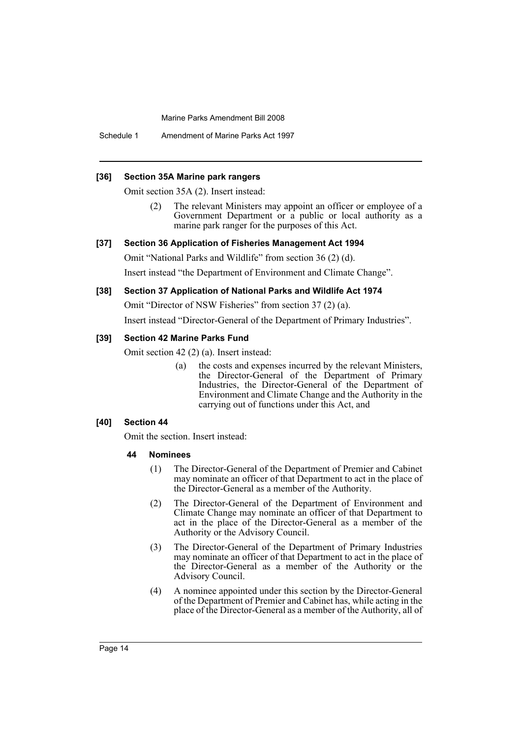Schedule 1 Amendment of Marine Parks Act 1997

#### **[36] Section 35A Marine park rangers**

Omit section 35A (2). Insert instead:

The relevant Ministers may appoint an officer or employee of a Government Department or a public or local authority as a marine park ranger for the purposes of this Act.

#### **[37] Section 36 Application of Fisheries Management Act 1994**

Omit "National Parks and Wildlife" from section 36 (2) (d).

Insert instead "the Department of Environment and Climate Change".

#### **[38] Section 37 Application of National Parks and Wildlife Act 1974**

Omit "Director of NSW Fisheries" from section 37 (2) (a).

Insert instead "Director-General of the Department of Primary Industries".

#### **[39] Section 42 Marine Parks Fund**

Omit section 42 (2) (a). Insert instead:

(a) the costs and expenses incurred by the relevant Ministers, the Director-General of the Department of Primary Industries, the Director-General of the Department of Environment and Climate Change and the Authority in the carrying out of functions under this Act, and

#### **[40] Section 44**

Omit the section. Insert instead:

#### **44 Nominees**

- (1) The Director-General of the Department of Premier and Cabinet may nominate an officer of that Department to act in the place of the Director-General as a member of the Authority.
- (2) The Director-General of the Department of Environment and Climate Change may nominate an officer of that Department to act in the place of the Director-General as a member of the Authority or the Advisory Council.
- (3) The Director-General of the Department of Primary Industries may nominate an officer of that Department to act in the place of the Director-General as a member of the Authority or the Advisory Council.
- (4) A nominee appointed under this section by the Director-General of the Department of Premier and Cabinet has, while acting in the place of the Director-General as a member of the Authority, all of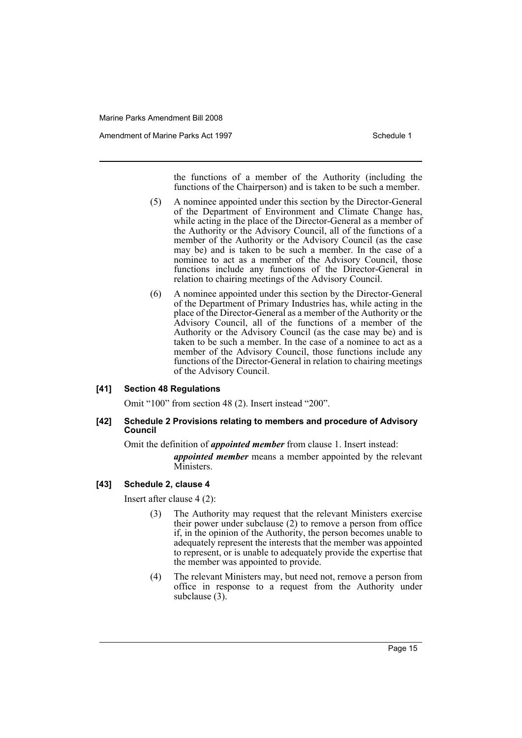Amendment of Marine Parks Act 1997 Schedule 1

the functions of a member of the Authority (including the functions of the Chairperson) and is taken to be such a member.

- (5) A nominee appointed under this section by the Director-General of the Department of Environment and Climate Change has, while acting in the place of the Director-General as a member of the Authority or the Advisory Council, all of the functions of a member of the Authority or the Advisory Council (as the case may be) and is taken to be such a member. In the case of a nominee to act as a member of the Advisory Council, those functions include any functions of the Director-General in relation to chairing meetings of the Advisory Council.
- (6) A nominee appointed under this section by the Director-General of the Department of Primary Industries has, while acting in the place of the Director-General as a member of the Authority or the Advisory Council, all of the functions of a member of the Authority or the Advisory Council (as the case may be) and is taken to be such a member. In the case of a nominee to act as a member of the Advisory Council, those functions include any functions of the Director-General in relation to chairing meetings of the Advisory Council.

#### **[41] Section 48 Regulations**

Omit "100" from section 48 (2). Insert instead "200".

#### **[42] Schedule 2 Provisions relating to members and procedure of Advisory Council**

Omit the definition of *appointed member* from clause 1. Insert instead:

*appointed member* means a member appointed by the relevant Ministers.

#### **[43] Schedule 2, clause 4**

Insert after clause 4 (2):

- (3) The Authority may request that the relevant Ministers exercise their power under subclause (2) to remove a person from office if, in the opinion of the Authority, the person becomes unable to adequately represent the interests that the member was appointed to represent, or is unable to adequately provide the expertise that the member was appointed to provide.
- (4) The relevant Ministers may, but need not, remove a person from office in response to a request from the Authority under subclause (3).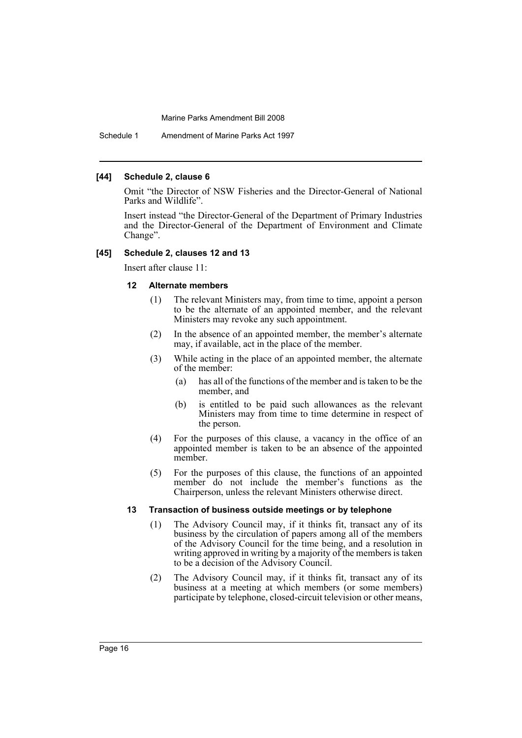Schedule 1 Amendment of Marine Parks Act 1997

#### **[44] Schedule 2, clause 6**

Omit "the Director of NSW Fisheries and the Director-General of National Parks and Wildlife".

Insert instead "the Director-General of the Department of Primary Industries and the Director-General of the Department of Environment and Climate Change".

#### **[45] Schedule 2, clauses 12 and 13**

Insert after clause 11:

#### **12 Alternate members**

- (1) The relevant Ministers may, from time to time, appoint a person to be the alternate of an appointed member, and the relevant Ministers may revoke any such appointment.
- (2) In the absence of an appointed member, the member's alternate may, if available, act in the place of the member.
- (3) While acting in the place of an appointed member, the alternate of the member:
	- (a) has all of the functions of the member and is taken to be the member, and
	- (b) is entitled to be paid such allowances as the relevant Ministers may from time to time determine in respect of the person.
- (4) For the purposes of this clause, a vacancy in the office of an appointed member is taken to be an absence of the appointed member.
- (5) For the purposes of this clause, the functions of an appointed member do not include the member's functions as the Chairperson, unless the relevant Ministers otherwise direct.

#### **13 Transaction of business outside meetings or by telephone**

- (1) The Advisory Council may, if it thinks fit, transact any of its business by the circulation of papers among all of the members of the Advisory Council for the time being, and a resolution in writing approved in writing by a majority of the members is taken to be a decision of the Advisory Council.
- (2) The Advisory Council may, if it thinks fit, transact any of its business at a meeting at which members (or some members) participate by telephone, closed-circuit television or other means,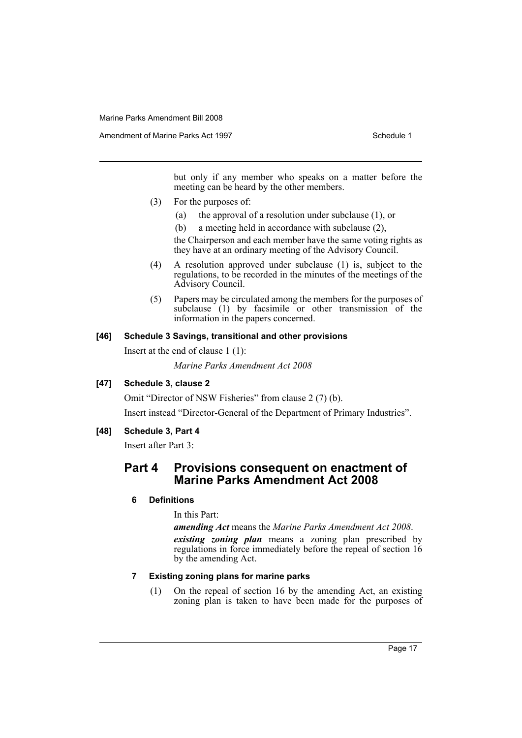but only if any member who speaks on a matter before the meeting can be heard by the other members.

- (3) For the purposes of:
	- (a) the approval of a resolution under subclause (1), or
	- (b) a meeting held in accordance with subclause (2),

the Chairperson and each member have the same voting rights as they have at an ordinary meeting of the Advisory Council.

- (4) A resolution approved under subclause (1) is, subject to the regulations, to be recorded in the minutes of the meetings of the Advisory Council.
- (5) Papers may be circulated among the members for the purposes of subclause (1) by facsimile or other transmission of the information in the papers concerned.

#### **[46] Schedule 3 Savings, transitional and other provisions**

Insert at the end of clause 1 (1):

*Marine Parks Amendment Act 2008*

## **[47] Schedule 3, clause 2**

Omit "Director of NSW Fisheries" from clause 2 (7) (b). Insert instead "Director-General of the Department of Primary Industries".

#### **[48] Schedule 3, Part 4**

Insert after Part 3:

## **Part 4 Provisions consequent on enactment of Marine Parks Amendment Act 2008**

#### **6 Definitions**

In this Part:

*amending Act* means the *Marine Parks Amendment Act 2008*. *existing zoning plan* means a zoning plan prescribed by regulations in force immediately before the repeal of section 16 by the amending Act.

#### **7 Existing zoning plans for marine parks**

(1) On the repeal of section 16 by the amending Act, an existing zoning plan is taken to have been made for the purposes of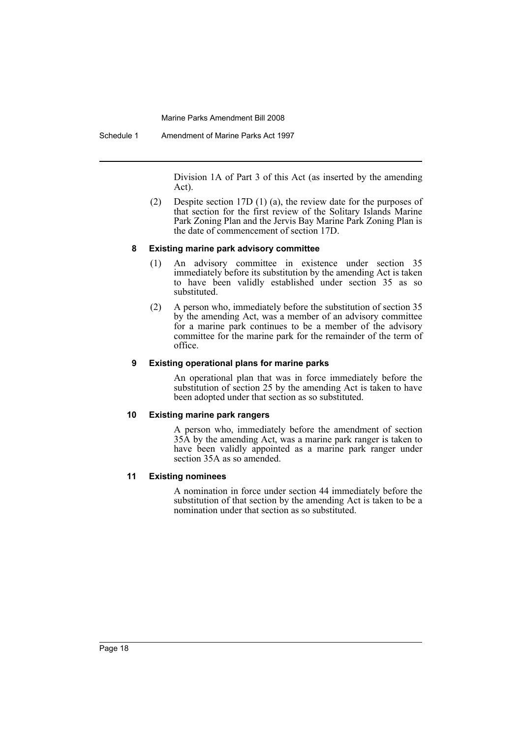Schedule 1 Amendment of Marine Parks Act 1997

Division 1A of Part 3 of this Act (as inserted by the amending Act).

(2) Despite section 17D (1) (a), the review date for the purposes of that section for the first review of the Solitary Islands Marine Park Zoning Plan and the Jervis Bay Marine Park Zoning Plan is the date of commencement of section 17D.

#### **8 Existing marine park advisory committee**

- (1) An advisory committee in existence under section 35 immediately before its substitution by the amending Act is taken to have been validly established under section 35 as so substituted.
- (2) A person who, immediately before the substitution of section 35 by the amending Act, was a member of an advisory committee for a marine park continues to be a member of the advisory committee for the marine park for the remainder of the term of office.

#### **9 Existing operational plans for marine parks**

An operational plan that was in force immediately before the substitution of section 25 by the amending Act is taken to have been adopted under that section as so substituted.

#### **10 Existing marine park rangers**

A person who, immediately before the amendment of section 35A by the amending Act, was a marine park ranger is taken to have been validly appointed as a marine park ranger under section 35A as so amended.

#### **11 Existing nominees**

A nomination in force under section 44 immediately before the substitution of that section by the amending Act is taken to be a nomination under that section as so substituted.